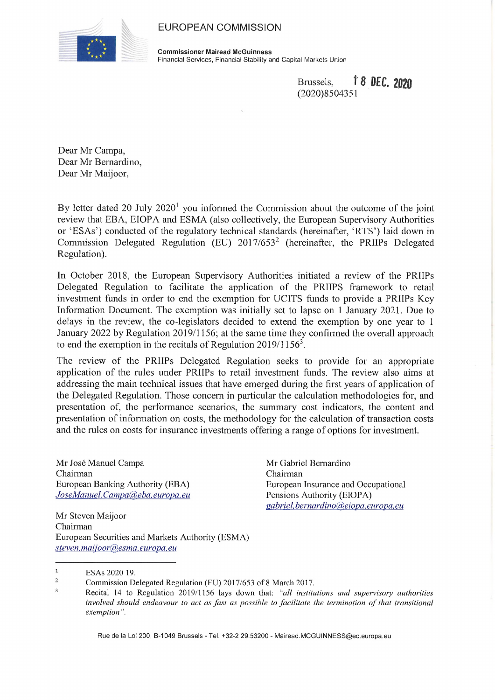## EUROPEAN COMMISSION



**Commissioner Mairead McGuinness** Financial Services, Financial Stability and Capital Markets Union

> Brussels, Î 8 0EC. *2020* (2020)8504351

Dear Mr Campa, Dear Mr Bernardino, Dear Mr Maijoor,

By letter dated 20 July  $2020<sup>1</sup>$  you informed the Commission about the outcome of the joint review that EBA, EIOPA and ESMA (also collectively, the European Supervisory Authorities or 'ESAs') conducted of the regulatory technical standards (hereinafter, 'RTS') laid down in Commission Delegated Regulation (EU) 2017/6532 (hereinafter, the PRIIPs Delegated Regulation).

In October 2018, the European Supervisory Authorities initiated a review of the PRIIPs Delegated Regulation to facilitate the application of the PRIIPS framework to retail investment funds in order to end the exemption for UCITS funds to provide a PRIIPs Key Information Document. The exemption was initially set to lapse on <sup>1</sup> January 2021. Due to delays in the review, the co-legislators decided to extend the exemption by one year to <sup>1</sup> January 2022 by Regulation 2019/1156; at the same time they confirmed the overall approach to end the exemption in the recitals of Regulation  $2019/1156<sup>3</sup>$ .

The review of the PRIIPs Delegated Regulation seeks to provide for an appropriate application of the rules under PRIIPs to retail investment funds. The review also aims at addressing the main technical issues that have emerged during the first years of application of the Delegated Regulation. Those concern in particular the calculation methodologies for, and presentation of, the performance scenarios, the summary cost indicators, the content and presentation of information on costs, the methodology for the calculation of transaction costs and the rules on costs for insurance investments offering a range of options for investment.

Mr José Manuel Campa Chairman European Banking Authority (EBA) *JoseManuel.Campata),eba. europa, eu* Mr Gabriel Bernardino Chairman European Insurance and Occupational Pensions Authority (EIOPA) *gabriel, bernardmo(a),eiopa. europa, eu*

Mr Steven Maijoor Chairman European Securities and Markets Authority (ESMA) *steven,maiioor(a),esma. europa, eu*

 $\mathbf{1}$ ESAs 2020 19.

Rue de la Loi 200, B-1049 Brussels - Tel. +32-2 29.53200 - [Mairead.MCGUINNESS@ec.europa.eu](mailto:Mairead.MCGUINNESS@ec.europa.eu)

<sup>2</sup> Commission Delegated Regulation (EU) 2017/653 of 8 March 2017.

 $\overline{3}$ Recital 14 to Regulation 2019/1156 lays down that: *"all institutions and supervisory authorities involved should endeavour to act as fast as possible to facilitate the termination ofthat transitional exemption ".*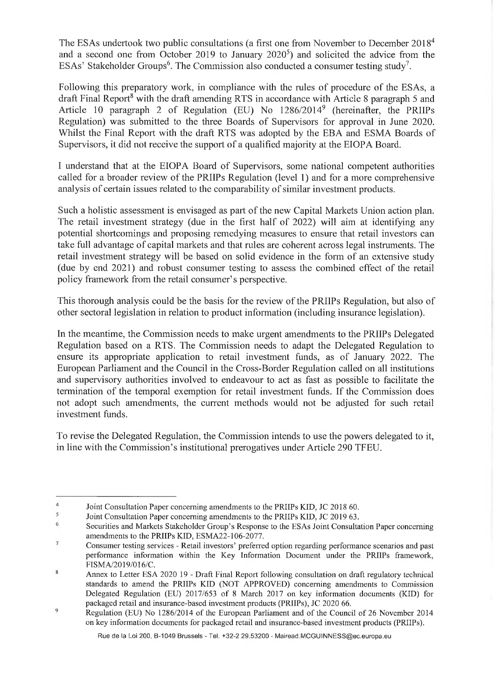The ESAs undertook two public consultations (a first one from November to December 2018<sup>4</sup> and a second one from October 2019 to January  $2020<sup>5</sup>$  and solicited the advice from the ESAs' Stakeholder Groups<sup>6</sup>. The Commission also conducted a consumer testing study<sup>7</sup>.

Following this preparatory work, in compliance with the rules of procedure of the ESAs, a draft Final Report<sup>8</sup> with the draft amending RTS in accordance with Article 8 paragraph 5 and Article 10 paragraph 2 of Regulation (EU) No 1286/20149 (hereinafter, the PRIIPs Regulation) was submitted to the three Boards of Supervisors for approval in June 2020. Whilst the Final Report with the draft RTS was adopted by the EBA and ESMA Boards of Supervisors, it did not receive the support of a qualified majority at the EIOPA Board.

I understand that at the EIOPA Board of Supervisors, some national competent authorities called for a broader review of the PRIIPs Regulation (level 1) and for a more comprehensive analysis of certain issues related to the comparability of similar investment products.

Such a holistic assessment is envisaged as part of the new Capital Markets Union action plan. The retail investment strategy (due in the first half of 2022) will aim at identifying any potential shortcomings and proposing remedying measures to ensure that retail investors can take full advantage of capital markets and that rules are coherent across legal instruments. The retail investment strategy will be based on solid evidence in the form of an extensive study (due by end 2021) and robust consumer testing to assess the combined effect of the retail policy framework from the retail consumer's perspective.

This thorough analysis could be the basis for the review of the PRIIPs Regulation, but also of other sectoral legislation in relation to product information (including insurance legislation).

In the meantime, the Commission needs to make urgent amendments to the PRIIPs Delegated Regulation based on a RTS. The Commission needs to adapt the Delegated Regulation to ensure its appropriate application to retail investment funds, as of January 2022. The European Parliament and the Council in the Cross-Border Regulation called on all institutions and supervisory authorities involved to endeavour to act as fast as possible to facilitate the termination of the temporal exemption for retail investment funds. If the Commission does not adopt such amendments, the current methods would not be adjusted for such retail investment funds.

To revise the Delegated Regulation, the Commission intends to use the powers delegated to it, in line with the Commission's institutional prerogatives under Article 290 TFEU.

 $\overline{4}$ Joint Consultation Paper concerning amendments to the PRIIPs KID, JC 2018 60.

<sup>5</sup> Joint Consultation Paper concerning amendments to the PRIIPs KID, JC 2019 63.

<sup>6</sup> Securities and Markets Stakeholder Group's Response to the ESAs Joint Consultation Paper concerning amendments to the PRIIPs KID, ESMA22-106-2077.

 $\overline{7}$ Consumer testing services - Retail investors' preferred option regarding performance scenarios and past performance information within the Key Information Document under the PRIIPs framework, FISMA/2019/016/C.

<sup>8</sup> Annex to Letter ESA 2020 19 - Draft Final Report following consultation on draft regulatory technical standards to amend the PRIIPs KID (NOT APPROVED) concerning amendments to Commission Delegated Regulation (EU) 2017/653 of <sup>8</sup> March 2017 on key information documents (KID) for packaged retail and insurance-based investment products (PRIIPs), JC 2020 66.  $\overline{Q}$ 

Regulation (EU) No 1286/2014 of the European Parliament and of the Council of 26 November 2014 on key information documents for packaged retail and insurance-based investment products (PRIIPs).

Rue de la Loi 200, B-1049 Brussels - Tel. +32-2 29.53200 - [Mairead.MCGUINNESS@ec.europa.eu](mailto:Mairead.MCGUINNESS@ec.europa.eu)